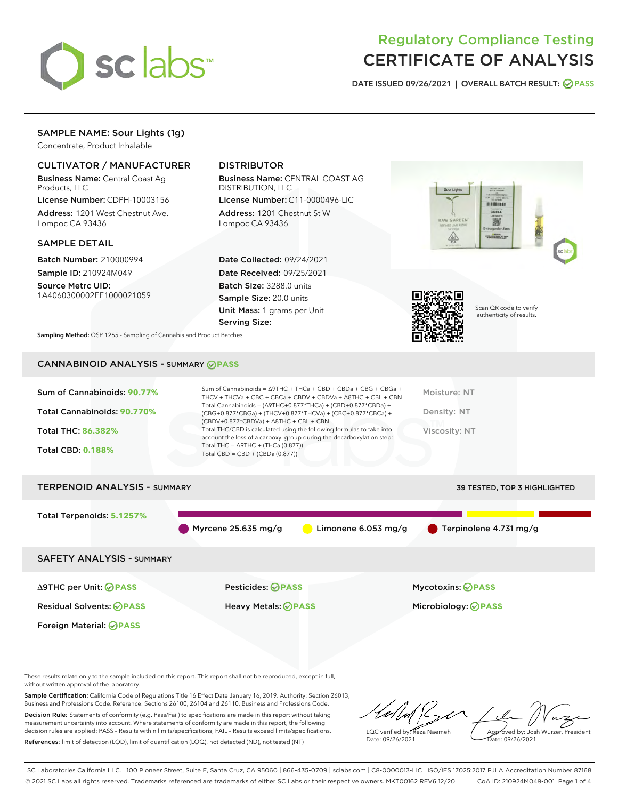

# Regulatory Compliance Testing CERTIFICATE OF ANALYSIS

DATE ISSUED 09/26/2021 | OVERALL BATCH RESULT: @ PASS

# SAMPLE NAME: Sour Lights (1g)

Concentrate, Product Inhalable

## CULTIVATOR / MANUFACTURER

Business Name: Central Coast Ag Products, LLC

License Number: CDPH-10003156 Address: 1201 West Chestnut Ave. Lompoc CA 93436

## SAMPLE DETAIL

Batch Number: 210000994 Sample ID: 210924M049

Source Metrc UID: 1A4060300002EE1000021059

# DISTRIBUTOR

Business Name: CENTRAL COAST AG DISTRIBUTION, LLC

License Number: C11-0000496-LIC Address: 1201 Chestnut St W Lompoc CA 93436

Date Collected: 09/24/2021 Date Received: 09/25/2021 Batch Size: 3288.0 units Sample Size: 20.0 units Unit Mass: 1 grams per Unit Serving Size:





Scan QR code to verify authenticity of results.

Sampling Method: QSP 1265 - Sampling of Cannabis and Product Batches

# CANNABINOID ANALYSIS - SUMMARY **PASS**

| Sum of Cannabinoids: 90.77%<br>Total Cannabinoids: 90.770%<br><b>Total THC: 86.382%</b><br><b>Total CBD: 0.188%</b> | Sum of Cannabinoids = $\triangle$ 9THC + THCa + CBD + CBDa + CBG + CBGa +<br>THCV + THCVa + CBC + CBCa + CBDV + CBDVa + $\Delta$ 8THC + CBL + CBN<br>Total Cannabinoids = $(\Delta$ 9THC+0.877*THCa) + (CBD+0.877*CBDa) +<br>(CBG+0.877*CBGa) + (THCV+0.877*THCVa) + (CBC+0.877*CBCa) +<br>$(CBDV+0.877*CBDVa) + \Delta 8THC + CBL + CBN$<br>Total THC/CBD is calculated using the following formulas to take into<br>account the loss of a carboxyl group during the decarboxylation step:<br>Total THC = $\triangle$ 9THC + (THCa (0.877))<br>Total CBD = $CBD + (CBDa (0.877))$ | Moisture: NT<br>Density: NT<br><b>Viscosity: NT</b> |
|---------------------------------------------------------------------------------------------------------------------|------------------------------------------------------------------------------------------------------------------------------------------------------------------------------------------------------------------------------------------------------------------------------------------------------------------------------------------------------------------------------------------------------------------------------------------------------------------------------------------------------------------------------------------------------------------------------------|-----------------------------------------------------|
| <b>TERPENOID ANALYSIS - SUMMARY</b>                                                                                 |                                                                                                                                                                                                                                                                                                                                                                                                                                                                                                                                                                                    | 39 TESTED, TOP 3 HIGHLIGHTED                        |
| Total Terpenoids: 5.1257%                                                                                           | Myrcene $25.635$ mg/g<br>Limonene 6.053 mg/g                                                                                                                                                                                                                                                                                                                                                                                                                                                                                                                                       | Terpinolene 4.731 mg/g                              |
| <b>SAFETY ANALYSIS - SUMMARY</b>                                                                                    |                                                                                                                                                                                                                                                                                                                                                                                                                                                                                                                                                                                    |                                                     |

Foreign Material: **PASS**

Δ9THC per Unit: **PASS** Pesticides: **PASS** Mycotoxins: **PASS**

Residual Solvents: **PASS** Heavy Metals: **PASS** Microbiology: **PASS**

These results relate only to the sample included on this report. This report shall not be reproduced, except in full, without written approval of the laboratory.

Sample Certification: California Code of Regulations Title 16 Effect Date January 16, 2019. Authority: Section 26013, Business and Professions Code. Reference: Sections 26100, 26104 and 26110, Business and Professions Code. Decision Rule: Statements of conformity (e.g. Pass/Fail) to specifications are made in this report without taking measurement uncertainty into account. Where statements of conformity are made in this report, the following

decision rules are applied: PASS – Results within limits/specifications, FAIL – Results exceed limits/specifications. References: limit of detection (LOD), limit of quantification (LOQ), not detected (ND), not tested (NT)

LQC verified by: Reza Naemeh Date: 09/26/2021 Approved by: Josh Wurzer, President ate: 09/26/2021

SC Laboratories California LLC. | 100 Pioneer Street, Suite E, Santa Cruz, CA 95060 | 866-435-0709 | sclabs.com | C8-0000013-LIC | ISO/IES 17025:2017 PJLA Accreditation Number 87168 © 2021 SC Labs all rights reserved. Trademarks referenced are trademarks of either SC Labs or their respective owners. MKT00162 REV6 12/20 CoA ID: 210924M049-001 Page 1 of 4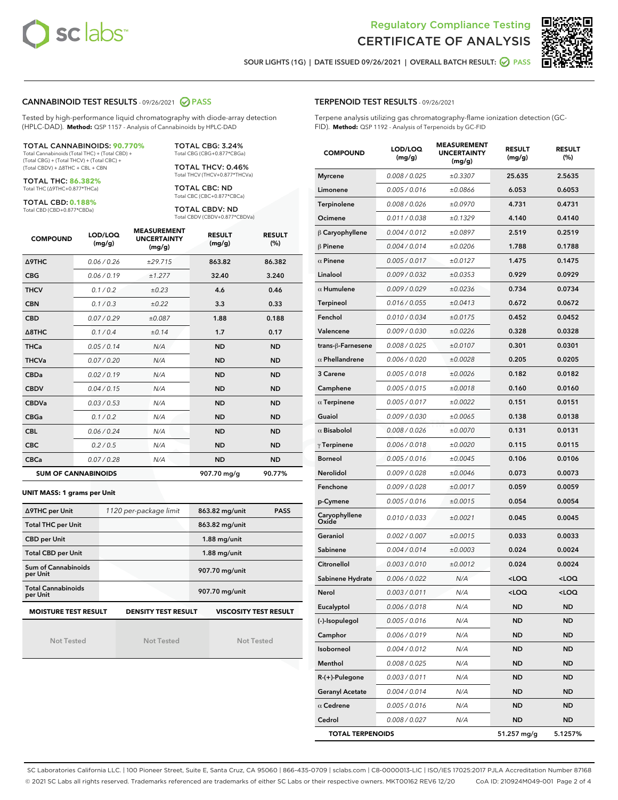



SOUR LIGHTS (1G) | DATE ISSUED 09/26/2021 | OVERALL BATCH RESULT: @ PASS

#### CANNABINOID TEST RESULTS - 09/26/2021 2 PASS

Tested by high-performance liquid chromatography with diode-array detection (HPLC-DAD). **Method:** QSP 1157 - Analysis of Cannabinoids by HPLC-DAD

#### TOTAL CANNABINOIDS: **90.770%**

Total Cannabinoids (Total THC) + (Total CBD) + (Total CBG) + (Total THCV) + (Total CBC) + (Total CBDV) + ∆8THC + CBL + CBN

TOTAL THC: **86.382%** Total THC (∆9THC+0.877\*THCa)

TOTAL CBD: **0.188%**

Total CBD (CBD+0.877\*CBDa)

TOTAL CBG: 3.24% Total CBG (CBG+0.877\*CBGa)

TOTAL THCV: 0.46% Total THCV (THCV+0.877\*THCVa)

TOTAL CBC: ND Total CBC (CBC+0.877\*CBCa)

TOTAL CBDV: ND Total CBDV (CBDV+0.877\*CBDVa)

| <b>COMPOUND</b>            | LOD/LOQ<br>(mg/g) | <b>MEASUREMENT</b><br><b>UNCERTAINTY</b><br>(mg/g) | <b>RESULT</b><br>(mg/g) | <b>RESULT</b><br>(%) |
|----------------------------|-------------------|----------------------------------------------------|-------------------------|----------------------|
| <b>A9THC</b>               | 0.06 / 0.26       | ±29.715                                            | 863.82                  | 86.382               |
| <b>CBG</b>                 | 0.06 / 0.19       | ±1.277                                             | 32.40                   | 3.240                |
| <b>THCV</b>                | 0.1 / 0.2         | ±0.23                                              | 4.6                     | 0.46                 |
| <b>CBN</b>                 | 0.1/0.3           | ±0.22                                              | 3.3                     | 0.33                 |
| <b>CBD</b>                 | 0.07/0.29         | ±0.087                                             | 1.88                    | 0.188                |
| $\triangle$ 8THC           | 0.1/0.4           | ±0.14                                              | 1.7                     | 0.17                 |
| <b>THCa</b>                | 0.05/0.14         | N/A                                                | <b>ND</b>               | <b>ND</b>            |
| <b>THCVa</b>               | 0.07 / 0.20       | N/A                                                | <b>ND</b>               | <b>ND</b>            |
| <b>CBDa</b>                | 0.02/0.19         | N/A                                                | <b>ND</b>               | <b>ND</b>            |
| <b>CBDV</b>                | 0.04 / 0.15       | N/A                                                | <b>ND</b>               | <b>ND</b>            |
| <b>CBDVa</b>               | 0.03 / 0.53       | N/A                                                | <b>ND</b>               | <b>ND</b>            |
| <b>CBGa</b>                | 0.1/0.2           | N/A                                                | <b>ND</b>               | <b>ND</b>            |
| <b>CBL</b>                 | 0.06 / 0.24       | N/A                                                | <b>ND</b>               | <b>ND</b>            |
| <b>CBC</b>                 | 0.2 / 0.5         | N/A                                                | <b>ND</b>               | <b>ND</b>            |
| <b>CBCa</b>                | 0.07 / 0.28       | N/A                                                | <b>ND</b>               | <b>ND</b>            |
| <b>SUM OF CANNABINOIDS</b> |                   |                                                    | 907.70 mg/g             | 90.77%               |

#### **UNIT MASS: 1 grams per Unit**

| ∆9THC per Unit                                                                            | 1120 per-package limit | 863.82 mg/unit<br><b>PASS</b> |  |  |  |
|-------------------------------------------------------------------------------------------|------------------------|-------------------------------|--|--|--|
| <b>Total THC per Unit</b>                                                                 |                        | 863.82 mg/unit                |  |  |  |
| <b>CBD per Unit</b>                                                                       |                        | $1.88$ mg/unit                |  |  |  |
| <b>Total CBD per Unit</b>                                                                 |                        | $1.88$ mg/unit                |  |  |  |
| Sum of Cannabinoids<br>per Unit                                                           |                        | 907.70 mg/unit                |  |  |  |
| <b>Total Cannabinoids</b><br>per Unit                                                     |                        | 907.70 mg/unit                |  |  |  |
| <b>MOISTURE TEST RESULT</b><br><b>DENSITY TEST RESULT</b><br><b>VISCOSITY TEST RESULT</b> |                        |                               |  |  |  |

Not Tested

Not Tested

Not Tested

#### TERPENOID TEST RESULTS - 09/26/2021

Terpene analysis utilizing gas chromatography-flame ionization detection (GC-FID). **Method:** QSP 1192 - Analysis of Terpenoids by GC-FID

| <b>COMPOUND</b>         | LOD/LOQ<br>(mg/g) | <b>MEASUREMENT</b><br><b>UNCERTAINTY</b><br>(mg/g) | <b>RESULT</b><br>(mg/g)                         | <b>RESULT</b><br>(%) |
|-------------------------|-------------------|----------------------------------------------------|-------------------------------------------------|----------------------|
| <b>Myrcene</b>          | 0.008 / 0.025     | ±0.3307                                            | 25.635                                          | 2.5635               |
| Limonene                | 0.005 / 0.016     | ±0.0866                                            | 6.053                                           | 0.6053               |
| Terpinolene             | 0.008 / 0.026     | ±0.0970                                            | 4.731                                           | 0.4731               |
| Ocimene                 | 0.011 / 0.038     | ±0.1329                                            | 4.140                                           | 0.4140               |
| $\beta$ Caryophyllene   | 0.004 / 0.012     | ±0.0897                                            | 2.519                                           | 0.2519               |
| $\beta$ Pinene          | 0.004 / 0.014     | ±0.0206                                            | 1.788                                           | 0.1788               |
| $\alpha$ Pinene         | 0.005 / 0.017     | ±0.0127                                            | 1.475                                           | 0.1475               |
| Linalool                | 0.009 / 0.032     | ±0.0353                                            | 0.929                                           | 0.0929               |
| $\alpha$ Humulene       | 0.009 / 0.029     | ±0.0236                                            | 0.734                                           | 0.0734               |
| Terpineol               | 0.016 / 0.055     | ±0.0413                                            | 0.672                                           | 0.0672               |
| Fenchol                 | 0.010 / 0.034     | ±0.0175                                            | 0.452                                           | 0.0452               |
| Valencene               | 0.009 / 0.030     | ±0.0226                                            | 0.328                                           | 0.0328               |
| trans-ß-Farnesene       | 0.008 / 0.025     | ±0.0107                                            | 0.301                                           | 0.0301               |
| $\alpha$ Phellandrene   | 0.006 / 0.020     | ±0.0028                                            | 0.205                                           | 0.0205               |
| 3 Carene                | 0.005 / 0.018     | ±0.0026                                            | 0.182                                           | 0.0182               |
| Camphene                | 0.005 / 0.015     | ±0.0018                                            | 0.160                                           | 0.0160               |
| $\alpha$ Terpinene      | 0.005 / 0.017     | ±0.0022                                            | 0.151                                           | 0.0151               |
| Guaiol                  | 0.009 / 0.030     | ±0.0065                                            | 0.138                                           | 0.0138               |
| $\alpha$ Bisabolol      | 0.008 / 0.026     | ±0.0070                                            | 0.131                                           | 0.0131               |
| $\gamma$ Terpinene      | 0.006 / 0.018     | ±0.0020                                            | 0.115                                           | 0.0115               |
| <b>Borneol</b>          | 0.005 / 0.016     | ±0.0045                                            | 0.106                                           | 0.0106               |
| <b>Nerolidol</b>        | 0.009 / 0.028     | ±0.0046                                            | 0.073                                           | 0.0073               |
| Fenchone                | 0.009 / 0.028     | ±0.0017                                            | 0.059                                           | 0.0059               |
| p-Cymene                | 0.005 / 0.016     | ±0.0015                                            | 0.054                                           | 0.0054               |
| Caryophyllene<br>Oxide  | 0.010 / 0.033     | ±0.0021                                            | 0.045                                           | 0.0045               |
| Geraniol                | 0.002 / 0.007     | ±0.0015                                            | 0.033                                           | 0.0033               |
| Sabinene                | 0.004 / 0.014     | ±0.0003                                            | 0.024                                           | 0.0024               |
| Citronellol             | 0.003 / 0.010     | ±0.0012                                            | 0.024                                           | 0.0024               |
| Sabinene Hydrate        | 0.006 / 0.022     | N/A                                                | <loq< th=""><th><loq< th=""></loq<></th></loq<> | <loq< th=""></loq<>  |
| Nerol                   | 0.003 / 0.011     | N/A                                                | <loq< th=""><th><loq< th=""></loq<></th></loq<> | <loq< th=""></loq<>  |
| Eucalyptol              | 0.006 / 0.018     | N/A                                                | ND                                              | ND                   |
| (-)-Isopulegol          | 0.005 / 0.016     | N/A                                                | ND                                              | <b>ND</b>            |
| Camphor                 | 0.006 / 0.019     | N/A                                                | <b>ND</b>                                       | <b>ND</b>            |
| Isoborneol              | 0.004 / 0.012     | N/A                                                | ND                                              | <b>ND</b>            |
| Menthol                 | 0.008 / 0.025     | N/A                                                | ND                                              | ND                   |
| $R-(+)$ -Pulegone       | 0.003 / 0.011     | N/A                                                | <b>ND</b>                                       | ND                   |
| <b>Geranyl Acetate</b>  | 0.004 / 0.014     | N/A                                                | ND                                              | ND                   |
| $\alpha$ Cedrene        | 0.005 / 0.016     | N/A                                                | ND                                              | ND                   |
| Cedrol                  | 0.008 / 0.027     | N/A                                                | <b>ND</b>                                       | ND                   |
| <b>TOTAL TERPENOIDS</b> |                   |                                                    | 51.257 mg/g                                     | 5.1257%              |

SC Laboratories California LLC. | 100 Pioneer Street, Suite E, Santa Cruz, CA 95060 | 866-435-0709 | sclabs.com | C8-0000013-LIC | ISO/IES 17025:2017 PJLA Accreditation Number 87168 © 2021 SC Labs all rights reserved. Trademarks referenced are trademarks of either SC Labs or their respective owners. MKT00162 REV6 12/20 CoA ID: 210924M049-001 Page 2 of 4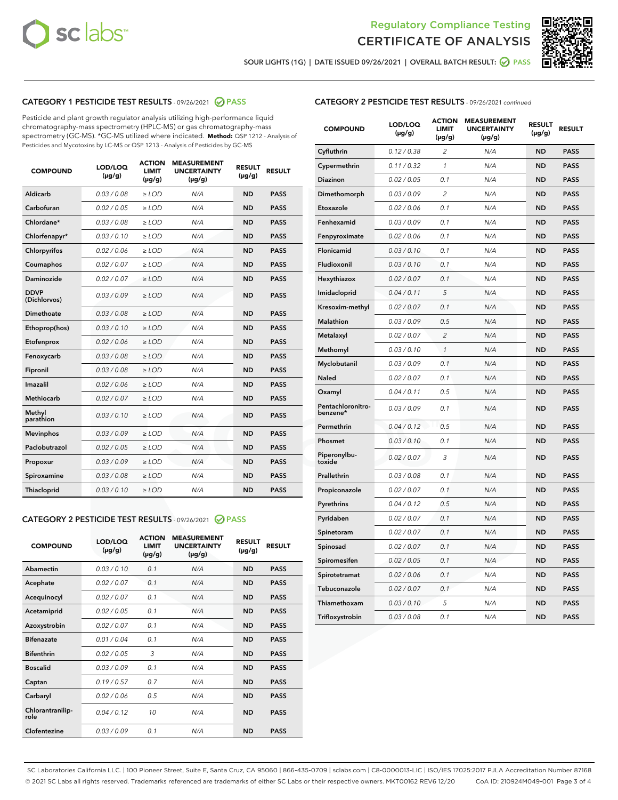



SOUR LIGHTS (1G) | DATE ISSUED 09/26/2021 | OVERALL BATCH RESULT: ● PASS

# CATEGORY 1 PESTICIDE TEST RESULTS - 09/26/2021 2 PASS

Pesticide and plant growth regulator analysis utilizing high-performance liquid chromatography-mass spectrometry (HPLC-MS) or gas chromatography-mass spectrometry (GC-MS). \*GC-MS utilized where indicated. **Method:** QSP 1212 - Analysis of Pesticides and Mycotoxins by LC-MS or QSP 1213 - Analysis of Pesticides by GC-MS

| <b>COMPOUND</b>             | LOD/LOQ<br>$(\mu g/g)$ | <b>ACTION</b><br><b>LIMIT</b><br>$(\mu g/g)$ | <b>MEASUREMENT</b><br><b>UNCERTAINTY</b><br>$(\mu g/g)$ | <b>RESULT</b><br>$(\mu g/g)$ | <b>RESULT</b> |
|-----------------------------|------------------------|----------------------------------------------|---------------------------------------------------------|------------------------------|---------------|
| Aldicarb                    | 0.03/0.08              | $>$ LOD                                      | N/A                                                     | <b>ND</b>                    | <b>PASS</b>   |
| Carbofuran                  | 0.02 / 0.05            | $\ge$ LOD                                    | N/A                                                     | <b>ND</b>                    | <b>PASS</b>   |
| Chlordane*                  | 0.03/0.08              | $>$ LOD                                      | N/A                                                     | <b>ND</b>                    | <b>PASS</b>   |
| Chlorfenapyr*               | 0.03 / 0.10            | $\ge$ LOD                                    | N/A                                                     | <b>ND</b>                    | <b>PASS</b>   |
| Chlorpyrifos                | 0.02 / 0.06            | $\ge$ LOD                                    | N/A                                                     | <b>ND</b>                    | <b>PASS</b>   |
| Coumaphos                   | 0.02 / 0.07            | $\ge$ LOD                                    | N/A                                                     | <b>ND</b>                    | <b>PASS</b>   |
| Daminozide                  | 0.02 / 0.07            | $\ge$ LOD                                    | N/A                                                     | <b>ND</b>                    | <b>PASS</b>   |
| <b>DDVP</b><br>(Dichlorvos) | 0.03/0.09              | $\ge$ LOD                                    | N/A                                                     | <b>ND</b>                    | <b>PASS</b>   |
| <b>Dimethoate</b>           | 0.03 / 0.08            | $\ge$ LOD                                    | N/A                                                     | <b>ND</b>                    | <b>PASS</b>   |
| Ethoprop(hos)               | 0.03/0.10              | $\ge$ LOD                                    | N/A                                                     | <b>ND</b>                    | <b>PASS</b>   |
| Etofenprox                  | 0.02 / 0.06            | $\ge$ LOD                                    | N/A                                                     | <b>ND</b>                    | <b>PASS</b>   |
| Fenoxycarb                  | 0.03 / 0.08            | $\ge$ LOD                                    | N/A                                                     | <b>ND</b>                    | <b>PASS</b>   |
| Fipronil                    | 0.03/0.08              | $>$ LOD                                      | N/A                                                     | <b>ND</b>                    | <b>PASS</b>   |
| Imazalil                    | 0.02 / 0.06            | $\ge$ LOD                                    | N/A                                                     | <b>ND</b>                    | <b>PASS</b>   |
| Methiocarb                  | 0.02 / 0.07            | $\ge$ LOD                                    | N/A                                                     | <b>ND</b>                    | <b>PASS</b>   |
| Methyl<br>parathion         | 0.03/0.10              | $\ge$ LOD                                    | N/A                                                     | <b>ND</b>                    | <b>PASS</b>   |
| <b>Mevinphos</b>            | 0.03/0.09              | $\ge$ LOD                                    | N/A                                                     | <b>ND</b>                    | <b>PASS</b>   |
| Paclobutrazol               | 0.02 / 0.05            | $>$ LOD                                      | N/A                                                     | <b>ND</b>                    | <b>PASS</b>   |
| Propoxur                    | 0.03/0.09              | $\ge$ LOD                                    | N/A                                                     | <b>ND</b>                    | <b>PASS</b>   |
| Spiroxamine                 | 0.03 / 0.08            | $\ge$ LOD                                    | N/A                                                     | <b>ND</b>                    | <b>PASS</b>   |
| Thiacloprid                 | 0.03/0.10              | $\ge$ LOD                                    | N/A                                                     | <b>ND</b>                    | <b>PASS</b>   |
|                             |                        |                                              |                                                         |                              |               |

#### CATEGORY 2 PESTICIDE TEST RESULTS - 09/26/2021 @ PASS

| <b>COMPOUND</b>          | LOD/LOO<br>$(\mu g/g)$ | <b>ACTION</b><br>LIMIT<br>$(\mu g/g)$ | <b>MEASUREMENT</b><br><b>UNCERTAINTY</b><br>$(\mu g/g)$ | <b>RESULT</b><br>$(\mu g/g)$ | <b>RESULT</b> |  |
|--------------------------|------------------------|---------------------------------------|---------------------------------------------------------|------------------------------|---------------|--|
| Abamectin                | 0.03/0.10              | 0.1                                   | N/A                                                     | <b>ND</b>                    | <b>PASS</b>   |  |
| Acephate                 | 0.02/0.07              | 0.1                                   | N/A                                                     | <b>ND</b>                    | <b>PASS</b>   |  |
| Acequinocyl              | 0.02/0.07              | 0.1                                   | N/A                                                     | <b>ND</b>                    | <b>PASS</b>   |  |
| Acetamiprid              | 0.02 / 0.05            | 0.1                                   | N/A                                                     | <b>ND</b>                    | <b>PASS</b>   |  |
| Azoxystrobin             | 0.02/0.07              | 0.1                                   | N/A                                                     | <b>ND</b>                    | <b>PASS</b>   |  |
| <b>Bifenazate</b>        | 0.01 / 0.04            | 0.1                                   | N/A                                                     | <b>ND</b>                    | <b>PASS</b>   |  |
| <b>Bifenthrin</b>        | 0.02 / 0.05            | 3                                     | N/A                                                     | <b>ND</b>                    | <b>PASS</b>   |  |
| <b>Boscalid</b>          | 0.03/0.09              | 0.1                                   | N/A                                                     | <b>ND</b>                    | <b>PASS</b>   |  |
| Captan                   | 0.19/0.57              | 0.7                                   | N/A                                                     | <b>ND</b>                    | <b>PASS</b>   |  |
| Carbaryl                 | 0.02/0.06              | 0.5                                   | N/A                                                     | <b>ND</b>                    | <b>PASS</b>   |  |
| Chlorantranilip-<br>role | 0.04/0.12              | 10                                    | N/A                                                     | <b>ND</b>                    | <b>PASS</b>   |  |
| Clofentezine             | 0.03/0.09              | 0.1                                   | N/A                                                     | <b>ND</b>                    | <b>PASS</b>   |  |

|  | <b>CATEGORY 2 PESTICIDE TEST RESULTS</b> - 09/26/2021 continued |  |  |  |
|--|-----------------------------------------------------------------|--|--|--|
|--|-----------------------------------------------------------------|--|--|--|

| <b>COMPOUND</b>               | LOD/LOQ<br>$(\mu g/g)$ | <b>ACTION</b><br>LIMIT<br>$(\mu g/g)$ | <b>MEASUREMENT</b><br><b>UNCERTAINTY</b><br>$(\mu g/g)$ | <b>RESULT</b><br>(µg/g) | <b>RESULT</b> |
|-------------------------------|------------------------|---------------------------------------|---------------------------------------------------------|-------------------------|---------------|
| Cyfluthrin                    | 0.12 / 0.38            | $\overline{\mathcal{L}}$              | N/A                                                     | ND                      | <b>PASS</b>   |
| Cypermethrin                  | 0.11 / 0.32            | 1                                     | N/A                                                     | ND                      | <b>PASS</b>   |
| Diazinon                      | 0.02 / 0.05            | 0.1                                   | N/A                                                     | ND                      | <b>PASS</b>   |
| Dimethomorph                  | 0.03 / 0.09            | $\overline{c}$                        | N/A                                                     | <b>ND</b>               | <b>PASS</b>   |
| Etoxazole                     | 0.02 / 0.06            | 0.1                                   | N/A                                                     | ND                      | <b>PASS</b>   |
| Fenhexamid                    | 0.03 / 0.09            | 0.1                                   | N/A                                                     | ND                      | <b>PASS</b>   |
| Fenpyroximate                 | 0.02 / 0.06            | 0.1                                   | N/A                                                     | <b>ND</b>               | <b>PASS</b>   |
| Flonicamid                    | 0.03 / 0.10            | 0.1                                   | N/A                                                     | <b>ND</b>               | <b>PASS</b>   |
| Fludioxonil                   | 0.03 / 0.10            | 0.1                                   | N/A                                                     | <b>ND</b>               | <b>PASS</b>   |
| Hexythiazox                   | 0.02 / 0.07            | 0.1                                   | N/A                                                     | <b>ND</b>               | <b>PASS</b>   |
| Imidacloprid                  | 0.04 / 0.11            | 5                                     | N/A                                                     | <b>ND</b>               | <b>PASS</b>   |
| Kresoxim-methyl               | 0.02 / 0.07            | 0.1                                   | N/A                                                     | ND                      | <b>PASS</b>   |
| <b>Malathion</b>              | 0.03 / 0.09            | 0.5                                   | N/A                                                     | <b>ND</b>               | <b>PASS</b>   |
| Metalaxyl                     | 0.02 / 0.07            | $\overline{2}$                        | N/A                                                     | <b>ND</b>               | <b>PASS</b>   |
| Methomyl                      | 0.03 / 0.10            | $\mathbf{1}$                          | N/A                                                     | <b>ND</b>               | <b>PASS</b>   |
| Myclobutanil                  | 0.03 / 0.09            | 0.1                                   | N/A                                                     | <b>ND</b>               | <b>PASS</b>   |
| Naled                         | 0.02 / 0.07            | 0.1                                   | N/A                                                     | ND                      | <b>PASS</b>   |
| Oxamyl                        | 0.04 / 0.11            | 0.5                                   | N/A                                                     | ND                      | <b>PASS</b>   |
| Pentachloronitro-<br>benzene* | 0.03 / 0.09            | 0.1                                   | N/A                                                     | ND                      | <b>PASS</b>   |
| Permethrin                    | 0.04/0.12              | 0.5                                   | N/A                                                     | ND                      | <b>PASS</b>   |
| Phosmet                       | 0.03 / 0.10            | 0.1                                   | N/A                                                     | <b>ND</b>               | <b>PASS</b>   |
| Piperonylbu-<br>toxide        | 0.02 / 0.07            | 3                                     | N/A                                                     | <b>ND</b>               | <b>PASS</b>   |
| Prallethrin                   | 0.03 / 0.08            | 0.1                                   | N/A                                                     | ND                      | <b>PASS</b>   |
| Propiconazole                 | 0.02 / 0.07            | 0.1                                   | N/A                                                     | <b>ND</b>               | <b>PASS</b>   |
| Pyrethrins                    | 0.04 / 0.12            | 0.5                                   | N/A                                                     | <b>ND</b>               | <b>PASS</b>   |
| Pyridaben                     | 0.02 / 0.07            | 0.1                                   | N/A                                                     | ND                      | <b>PASS</b>   |
| Spinetoram                    | 0.02 / 0.07            | 0.1                                   | N/A                                                     | ND                      | <b>PASS</b>   |
| Spinosad                      | 0.02 / 0.07            | 0.1                                   | N/A                                                     | ND                      | <b>PASS</b>   |
| Spiromesifen                  | 0.02 / 0.05            | 0.1                                   | N/A                                                     | ND                      | <b>PASS</b>   |
| Spirotetramat                 | 0.02 / 0.06            | 0.1                                   | N/A                                                     | <b>ND</b>               | <b>PASS</b>   |
| Tebuconazole                  | 0.02 / 0.07            | 0.1                                   | N/A                                                     | ND                      | <b>PASS</b>   |
| Thiamethoxam                  | 0.03 / 0.10            | 5                                     | N/A                                                     | ND                      | <b>PASS</b>   |
| Trifloxystrobin               | 0.03 / 0.08            | 0.1                                   | N/A                                                     | <b>ND</b>               | <b>PASS</b>   |

SC Laboratories California LLC. | 100 Pioneer Street, Suite E, Santa Cruz, CA 95060 | 866-435-0709 | sclabs.com | C8-0000013-LIC | ISO/IES 17025:2017 PJLA Accreditation Number 87168 © 2021 SC Labs all rights reserved. Trademarks referenced are trademarks of either SC Labs or their respective owners. MKT00162 REV6 12/20 CoA ID: 210924M049-001 Page 3 of 4